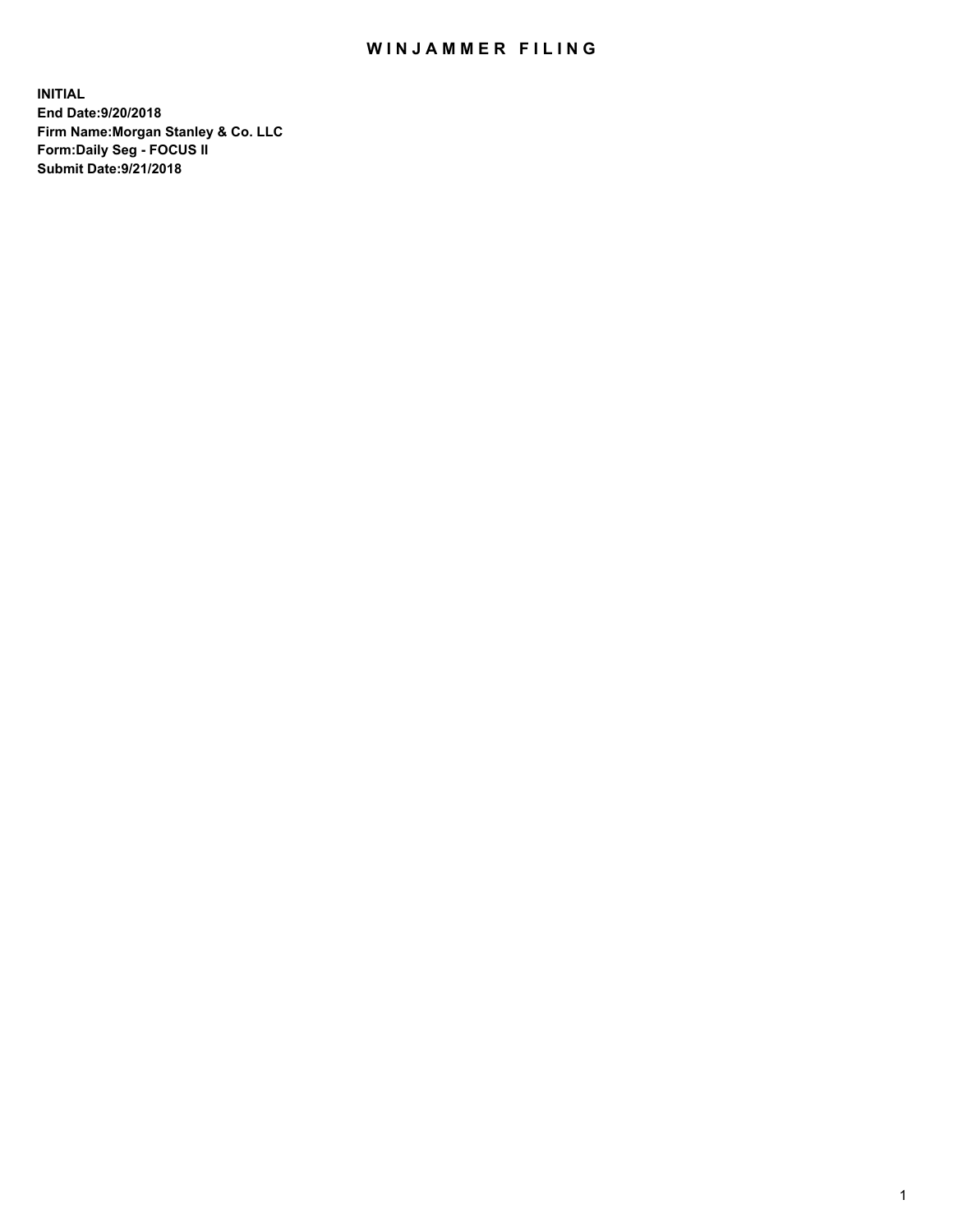## WIN JAMMER FILING

**INITIAL End Date:9/20/2018 Firm Name:Morgan Stanley & Co. LLC Form:Daily Seg - FOCUS II Submit Date:9/21/2018**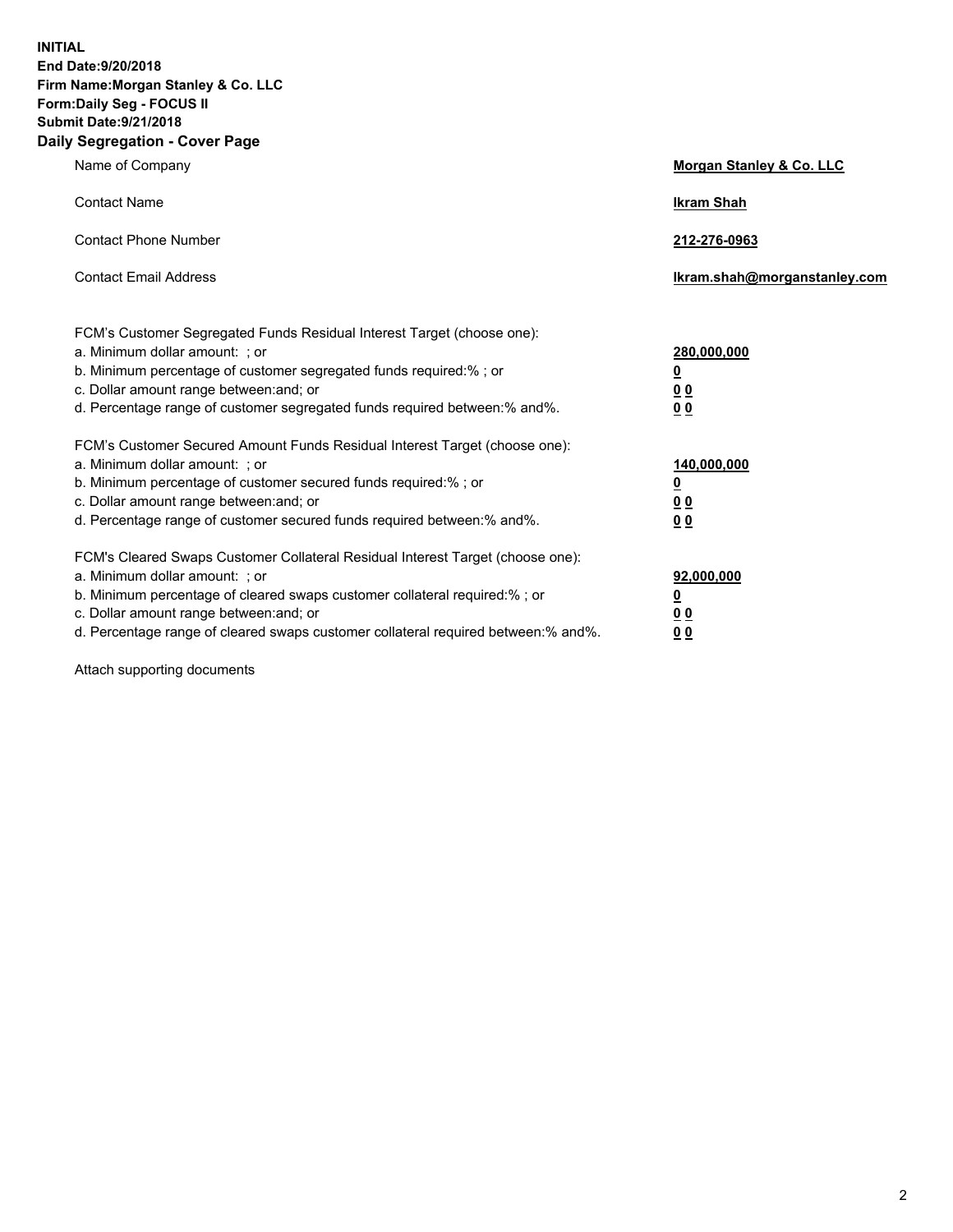**INITIAL End Date:9/20/2018 Firm Name:Morgan Stanley & Co. LLC Form:Daily Seg - FOCUS II Submit Date:9/21/2018 Daily Segregation - Cover Page**

| Name of Company                                                                                                                                                                                                                                                                                                                | Morgan Stanley & Co. LLC                               |
|--------------------------------------------------------------------------------------------------------------------------------------------------------------------------------------------------------------------------------------------------------------------------------------------------------------------------------|--------------------------------------------------------|
| <b>Contact Name</b>                                                                                                                                                                                                                                                                                                            | <b>Ikram Shah</b>                                      |
| <b>Contact Phone Number</b>                                                                                                                                                                                                                                                                                                    | 212-276-0963                                           |
| <b>Contact Email Address</b>                                                                                                                                                                                                                                                                                                   | lkram.shah@morganstanley.com                           |
| FCM's Customer Segregated Funds Residual Interest Target (choose one):<br>a. Minimum dollar amount: ; or<br>b. Minimum percentage of customer segregated funds required:% ; or<br>c. Dollar amount range between: and; or<br>d. Percentage range of customer segregated funds required between:% and%.                         | 280,000,000<br><u>0</u><br><u>0 0</u><br>0 Q           |
| FCM's Customer Secured Amount Funds Residual Interest Target (choose one):<br>a. Minimum dollar amount: ; or<br>b. Minimum percentage of customer secured funds required:%; or<br>c. Dollar amount range between: and; or<br>d. Percentage range of customer secured funds required between:% and%.                            | 140,000,000<br><u>0</u><br><u>00</u><br>0 <sub>0</sub> |
| FCM's Cleared Swaps Customer Collateral Residual Interest Target (choose one):<br>a. Minimum dollar amount: ; or<br>b. Minimum percentage of cleared swaps customer collateral required:% ; or<br>c. Dollar amount range between: and; or<br>d. Percentage range of cleared swaps customer collateral required between:% and%. | 92,000,000<br><u>0</u><br><u>00</u><br>0 <sup>0</sup>  |

Attach supporting documents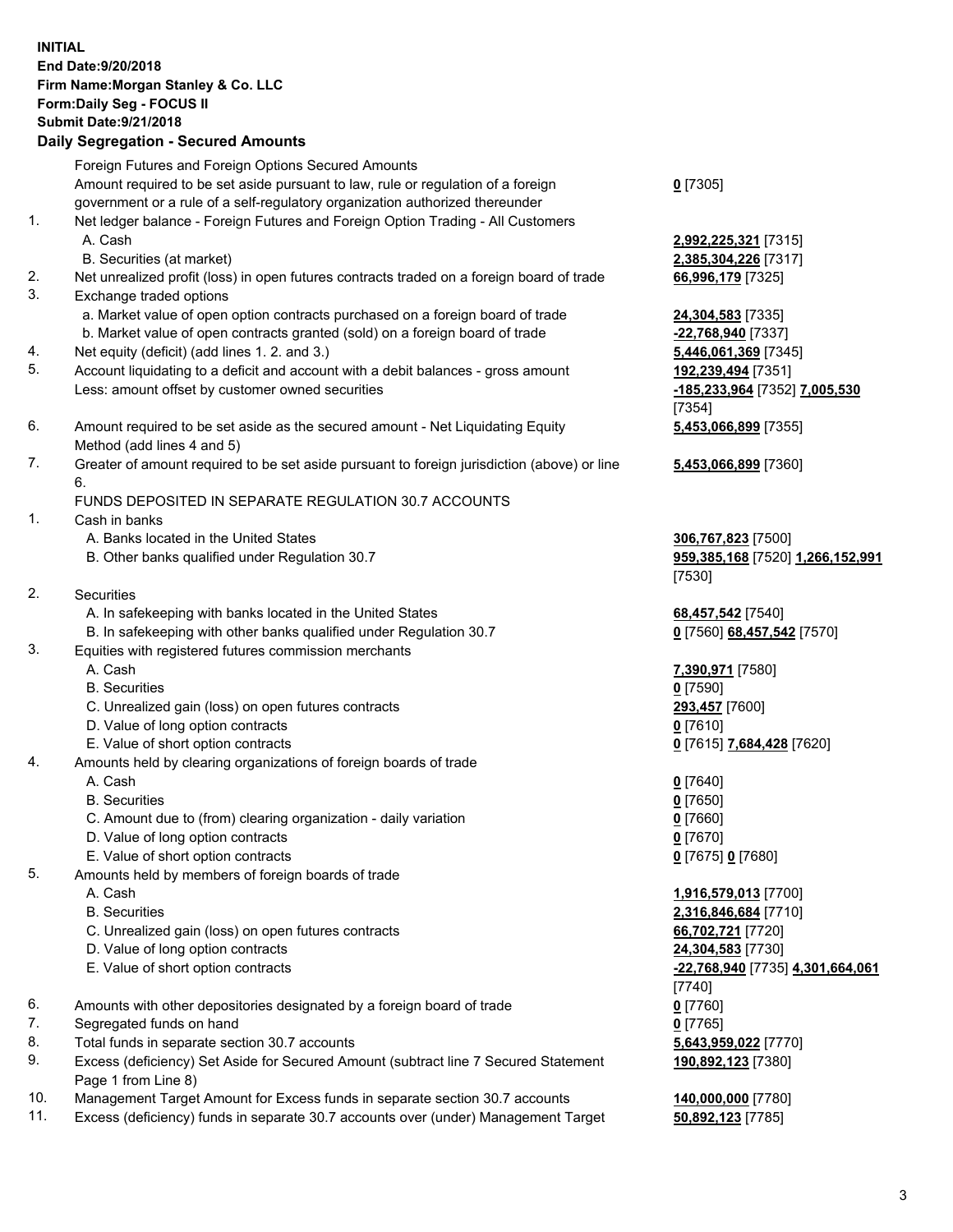## **INITIAL End Date:9/20/2018 Firm Name:Morgan Stanley & Co. LLC Form:Daily Seg - FOCUS II Submit Date:9/21/2018 Daily Segregation - Secured Amounts** Foreign Futures and Foreign Options Secured Amounts Amount required to be set aside pursuant to law, rule or regulation of a foreign government or a rule of a self-regulatory organization authorized thereunder **0** [7305] 1. Net ledger balance - Foreign Futures and Foreign Option Trading - All Customers A. Cash **2,992,225,321** [7315] B. Securities (at market) **2,385,304,226** [7317] 2. Net unrealized profit (loss) in open futures contracts traded on a foreign board of trade **66,996,179** [7325] 3. Exchange traded options a. Market value of open option contracts purchased on a foreign board of trade **24,304,583** [7335] b. Market value of open contracts granted (sold) on a foreign board of trade **-22,768,940** [7337] 4. Net equity (deficit) (add lines 1. 2. and 3.) **5,446,061,369** [7345] 5. Account liquidating to a deficit and account with a debit balances - gross amount **192,239,494** [7351] Less: amount offset by customer owned securities **-185,233,964** [7352] **7,005,530** 6. Amount required to be set aside as the secured amount - Net Liquidating Equity Method (add lines 4 and 5) 7. Greater of amount required to be set aside pursuant to foreign jurisdiction (above) or line 6. FUNDS DEPOSITED IN SEPARATE REGULATION 30.7 ACCOUNTS 1. Cash in banks A. Banks located in the United States **306,767,823** [7500] B. Other banks qualified under Regulation 30.7 **959,385,168** [7520] **1,266,152,991** 2. Securities A. In safekeeping with banks located in the United States **68,457,542** [7540] B. In safekeeping with other banks qualified under Regulation 30.7 **0** [7560] **68,457,542** [7570] 3. Equities with registered futures commission merchants A. Cash **7,390,971** [7580] B. Securities **0** [7590] C. Unrealized gain (loss) on open futures contracts **293,457** [7600] D. Value of long option contracts **0** [7610] E. Value of short option contracts **0** [7615] **7,684,428** [7620] 4. Amounts held by clearing organizations of foreign boards of trade A. Cash **0** [7640] B. Securities **0** [7650] C. Amount due to (from) clearing organization - daily variation **0** [7660] D. Value of long option contracts **0** [7670] E. Value of short option contracts **0** [7675] **0** [7680] 5. Amounts held by members of foreign boards of trade A. Cash **1,916,579,013** [7700] B. Securities **2,316,846,684** [7710] C. Unrealized gain (loss) on open futures contracts **66,702,721** [7720] D. Value of long option contracts **24,304,583** [7730] E. Value of short option contracts **-22,768,940** [7735] **4,301,664,061** 6. Amounts with other depositories designated by a foreign board of trade **0** [7760] 7. Segregated funds on hand **0** [7765]

- 8. Total funds in separate section 30.7 accounts **5,643,959,022** [7770]
- 9. Excess (deficiency) Set Aside for Secured Amount (subtract line 7 Secured Statement Page 1 from Line 8)
- 10. Management Target Amount for Excess funds in separate section 30.7 accounts **140,000,000** [7780]
- 11. Excess (deficiency) funds in separate 30.7 accounts over (under) Management Target **50,892,123** [7785]

[7354] **5,453,066,899** [7355] **5,453,066,899** [7360]

[7530]

[7740] **190,892,123** [7380]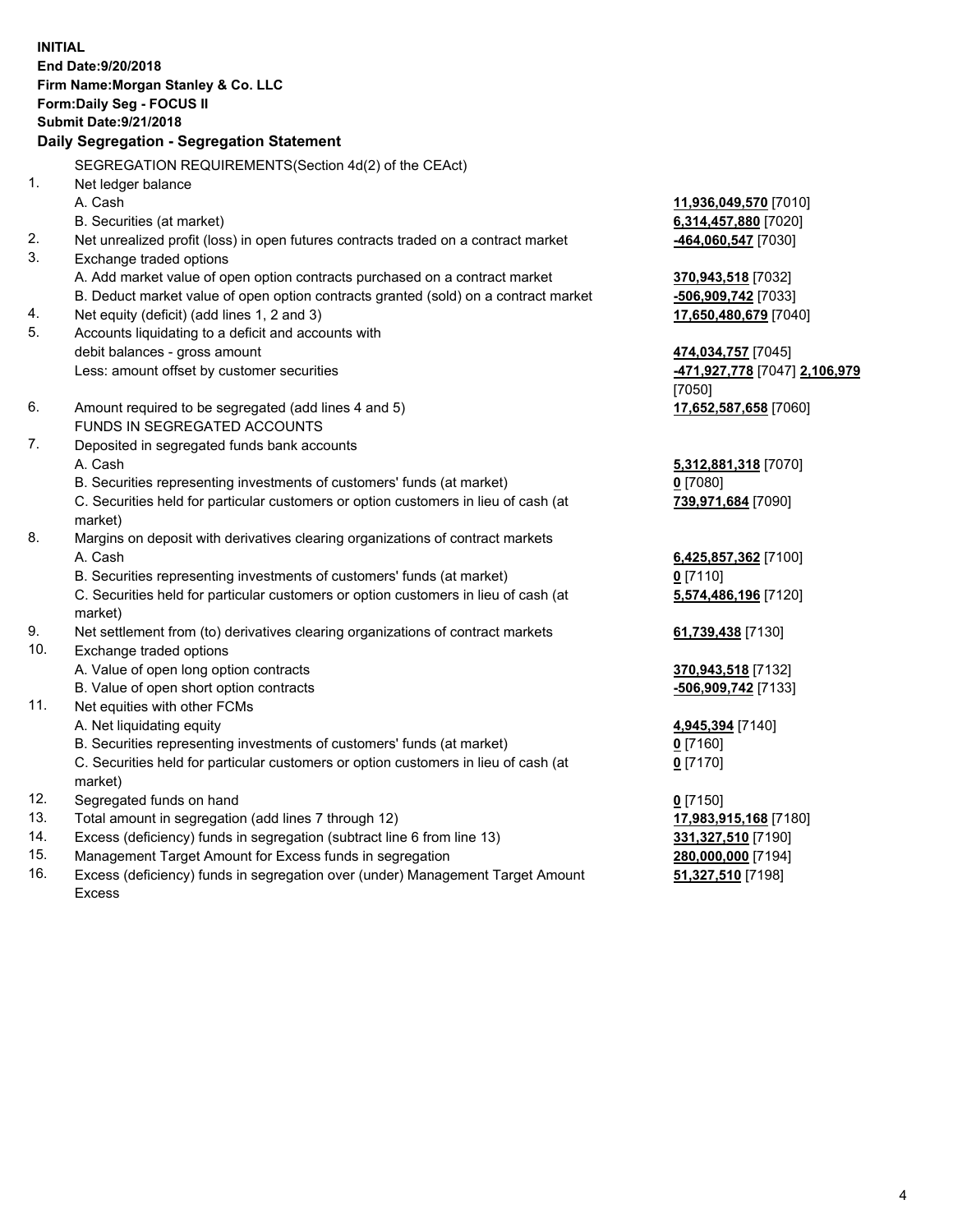**INITIAL End Date:9/20/2018 Firm Name:Morgan Stanley & Co. LLC Form:Daily Seg - FOCUS II Submit Date:9/21/2018 Daily Segregation - Segregation Statement** SEGREGATION REQUIREMENTS(Section 4d(2) of the CEAct) 1. Net ledger balance A. Cash **11,936,049,570** [7010] B. Securities (at market) **6,314,457,880** [7020] 2. Net unrealized profit (loss) in open futures contracts traded on a contract market **-464,060,547** [7030] 3. Exchange traded options A. Add market value of open option contracts purchased on a contract market **370,943,518** [7032] B. Deduct market value of open option contracts granted (sold) on a contract market **-506,909,742** [7033] 4. Net equity (deficit) (add lines 1, 2 and 3) **17,650,480,679** [7040] 5. Accounts liquidating to a deficit and accounts with debit balances - gross amount **474,034,757** [7045] Less: amount offset by customer securities **-471,927,778** [7047] **2,106,979** [7050] 6. Amount required to be segregated (add lines 4 and 5) **17,652,587,658** [7060] FUNDS IN SEGREGATED ACCOUNTS 7. Deposited in segregated funds bank accounts A. Cash **5,312,881,318** [7070] B. Securities representing investments of customers' funds (at market) **0** [7080] C. Securities held for particular customers or option customers in lieu of cash (at market) **739,971,684** [7090] 8. Margins on deposit with derivatives clearing organizations of contract markets A. Cash **6,425,857,362** [7100] B. Securities representing investments of customers' funds (at market) **0** [7110] C. Securities held for particular customers or option customers in lieu of cash (at market) **5,574,486,196** [7120] 9. Net settlement from (to) derivatives clearing organizations of contract markets **61,739,438** [7130] 10. Exchange traded options A. Value of open long option contracts **370,943,518** [7132] B. Value of open short option contracts **-506,909,742** [7133] 11. Net equities with other FCMs A. Net liquidating equity **4,945,394** [7140] B. Securities representing investments of customers' funds (at market) **0** [7160] C. Securities held for particular customers or option customers in lieu of cash (at market) **0** [7170] 12. Segregated funds on hand **0** [7150] 13. Total amount in segregation (add lines 7 through 12) **17,983,915,168** [7180] 14. Excess (deficiency) funds in segregation (subtract line 6 from line 13) **331,327,510** [7190]

- 15. Management Target Amount for Excess funds in segregation **280,000,000** [7194]
- 16. Excess (deficiency) funds in segregation over (under) Management Target Amount Excess

**51,327,510** [7198]